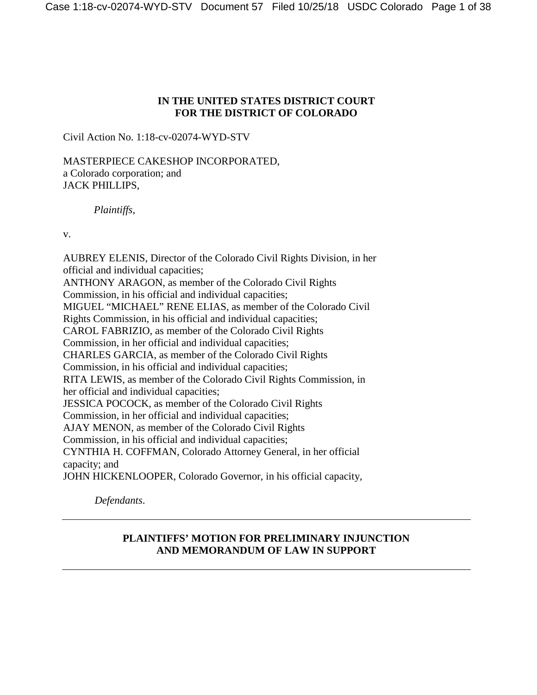## **IN THE UNITED STATES DISTRICT COURT FOR THE DISTRICT OF COLORADO**

Civil Action No. 1:18-cv-02074-WYD-STV

MASTERPIECE CAKESHOP INCORPORATED, a Colorado corporation; and JACK PHILLIPS,

*Plaintiffs*,

v.

AUBREY ELENIS, Director of the Colorado Civil Rights Division, in her official and individual capacities; ANTHONY ARAGON, as member of the Colorado Civil Rights Commission, in his official and individual capacities; MIGUEL "MICHAEL" RENE ELIAS, as member of the Colorado Civil Rights Commission, in his official and individual capacities; CAROL FABRIZIO, as member of the Colorado Civil Rights Commission, in her official and individual capacities; CHARLES GARCIA, as member of the Colorado Civil Rights Commission, in his official and individual capacities; RITA LEWIS, as member of the Colorado Civil Rights Commission, in her official and individual capacities; JESSICA POCOCK, as member of the Colorado Civil Rights Commission, in her official and individual capacities; AJAY MENON, as member of the Colorado Civil Rights Commission, in his official and individual capacities; CYNTHIA H. COFFMAN, Colorado Attorney General, in her official capacity; and JOHN HICKENLOOPER, Colorado Governor, in his official capacity,

*Defendants*.

## **PLAINTIFFS' MOTION FOR PRELIMINARY INJUNCTION AND MEMORANDUM OF LAW IN SUPPORT**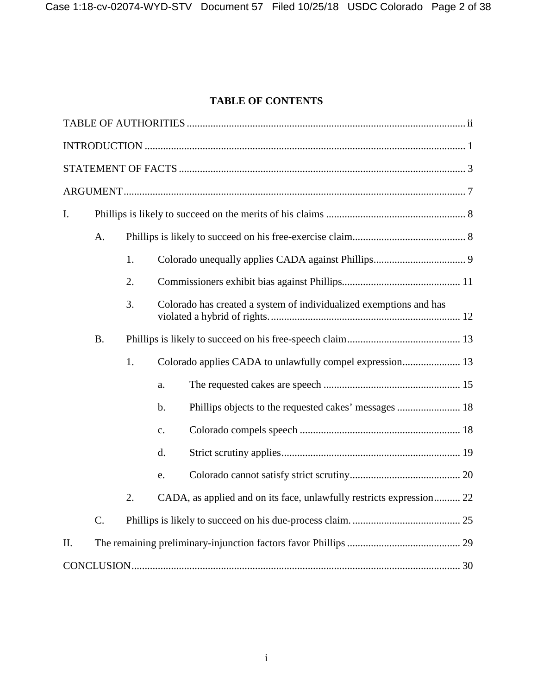# **TABLE OF CONTENTS**

| $\mathbf{I}$ . |           |    |                                                                      |  |  |  |  |
|----------------|-----------|----|----------------------------------------------------------------------|--|--|--|--|
|                | A.        |    |                                                                      |  |  |  |  |
|                |           | 1. |                                                                      |  |  |  |  |
|                |           | 2. |                                                                      |  |  |  |  |
|                |           | 3. | Colorado has created a system of individualized exemptions and has   |  |  |  |  |
|                | <b>B.</b> |    |                                                                      |  |  |  |  |
|                |           | 1. |                                                                      |  |  |  |  |
|                |           |    | a.                                                                   |  |  |  |  |
|                |           |    | b.                                                                   |  |  |  |  |
|                |           |    | $C_{\bullet}$                                                        |  |  |  |  |
|                |           |    | d.                                                                   |  |  |  |  |
|                |           |    | e.                                                                   |  |  |  |  |
|                |           | 2. | CADA, as applied and on its face, unlawfully restricts expression 22 |  |  |  |  |
|                | C.        |    |                                                                      |  |  |  |  |
| II.            |           |    |                                                                      |  |  |  |  |
|                |           |    |                                                                      |  |  |  |  |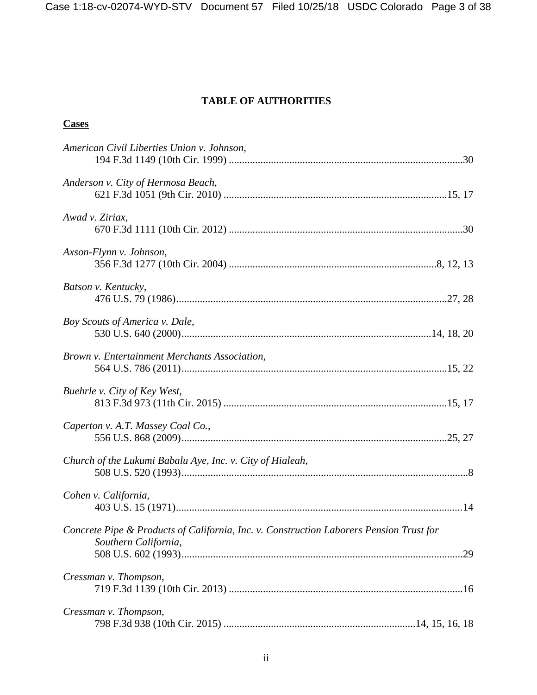## **TABLE OF AUTHORITIES**

# <span id="page-2-0"></span>**Cases**

| American Civil Liberties Union v. Johnson,                                                                      |  |
|-----------------------------------------------------------------------------------------------------------------|--|
| Anderson v. City of Hermosa Beach,                                                                              |  |
| Awad v. Ziriax,                                                                                                 |  |
| Axson-Flynn v. Johnson,                                                                                         |  |
| Batson v. Kentucky,                                                                                             |  |
| Boy Scouts of America v. Dale,                                                                                  |  |
| Brown v. Entertainment Merchants Association,                                                                   |  |
| Buehrle v. City of Key West,                                                                                    |  |
| Caperton v. A.T. Massey Coal Co.,                                                                               |  |
| Church of the Lukumi Babalu Aye, Inc. v. City of Hialeah,                                                       |  |
| Cohen v. California,                                                                                            |  |
| Concrete Pipe & Products of California, Inc. v. Construction Laborers Pension Trust for<br>Southern California, |  |
|                                                                                                                 |  |
| Cressman v. Thompson,                                                                                           |  |
| Cressman v. Thompson,                                                                                           |  |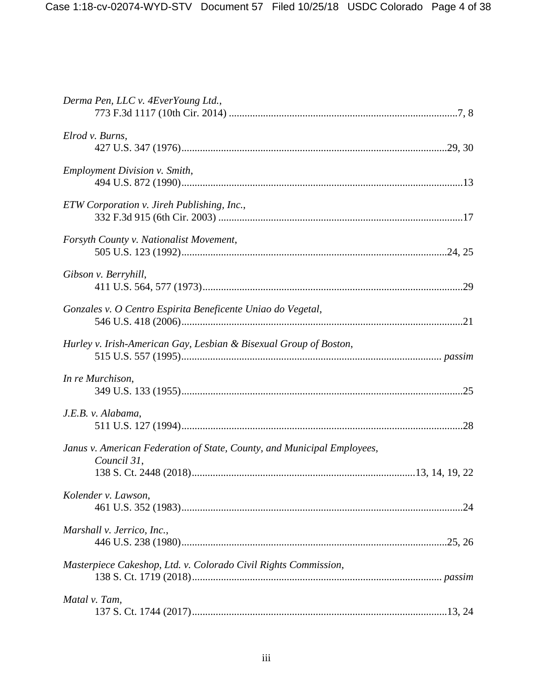| Derma Pen, LLC v. 4EverYoung Ltd.,                                                     |
|----------------------------------------------------------------------------------------|
| Elrod v. Burns,                                                                        |
| <b>Employment Division v. Smith,</b>                                                   |
| ETW Corporation v. Jireh Publishing, Inc.,                                             |
| Forsyth County v. Nationalist Movement,                                                |
| Gibson v. Berryhill,                                                                   |
| Gonzales v. O Centro Espirita Beneficente Uniao do Vegetal,                            |
| Hurley v. Irish-American Gay, Lesbian & Bisexual Group of Boston,                      |
| In re Murchison,                                                                       |
| J.E.B. v. Alabama,                                                                     |
| Janus v. American Federation of State, County, and Municipal Employees,<br>Council 31, |
|                                                                                        |
| Kolender v. Lawson,                                                                    |
| Marshall v. Jerrico, Inc.,                                                             |
| Masterpiece Cakeshop, Ltd. v. Colorado Civil Rights Commission,                        |
| Matal v. Tam,                                                                          |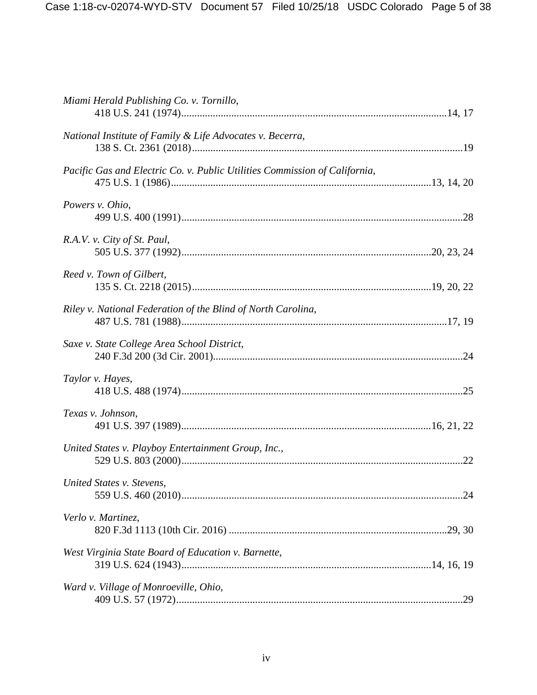| Miami Herald Publishing Co. v. Tornillo,                                   |  |
|----------------------------------------------------------------------------|--|
| National Institute of Family & Life Advocates v. Becerra,                  |  |
| Pacific Gas and Electric Co. v. Public Utilities Commission of California, |  |
| Powers v. Ohio,                                                            |  |
| R.A.V. v. City of St. Paul,                                                |  |
| Reed v. Town of Gilbert,                                                   |  |
| Riley v. National Federation of the Blind of North Carolina,               |  |
| Saxe v. State College Area School District,                                |  |
| Taylor v. Hayes,                                                           |  |
| Texas v. Johnson,                                                          |  |
| United States v. Playboy Entertainment Group, Inc.,                        |  |
| United States v. Stevens,                                                  |  |
| Verlo v. Martinez,                                                         |  |
| West Virginia State Board of Education v. Barnette,                        |  |
| Ward v. Village of Monroeville, Ohio,                                      |  |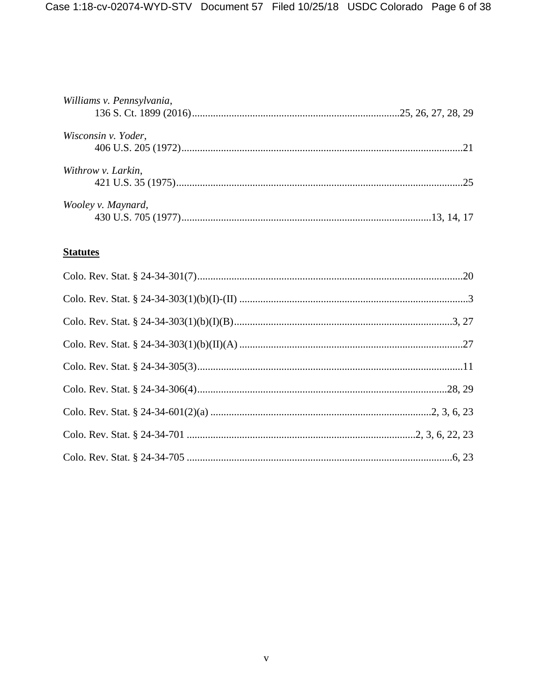| Williams v. Pennsylvania, |     |
|---------------------------|-----|
| Wisconsin v. Yoder,       | 21  |
| Withrow v. Larkin,        | -25 |
| Wooley v. Maynard,        |     |

# **Statutes**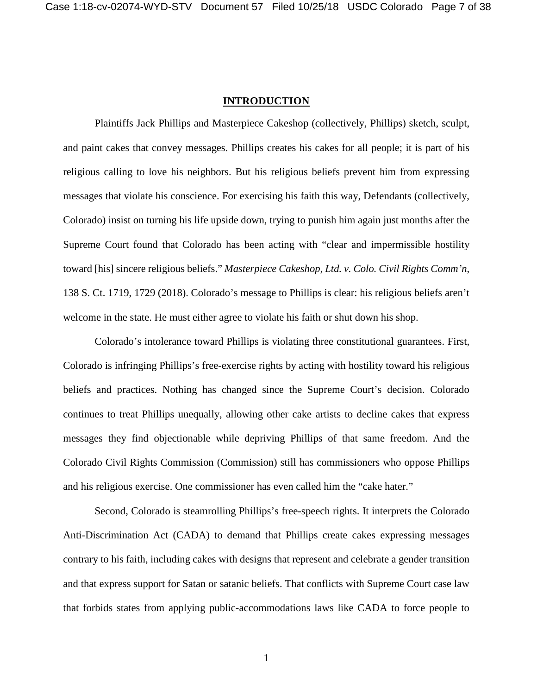### **INTRODUCTION**

<span id="page-6-0"></span>Plaintiffs Jack Phillips and Masterpiece Cakeshop (collectively, Phillips) sketch, sculpt, and paint cakes that convey messages. Phillips creates his cakes for all people; it is part of his religious calling to love his neighbors. But his religious beliefs prevent him from expressing messages that violate his conscience. For exercising his faith this way, Defendants (collectively, Colorado) insist on turning his life upside down, trying to punish him again just months after the Supreme Court found that Colorado has been acting with "clear and impermissible hostility toward [his] sincere religious beliefs." *Masterpiece Cakeshop, Ltd. v. Colo. Civil Rights Comm'n*, 138 S. Ct. 1719, 1729 (2018). Colorado's message to Phillips is clear: his religious beliefs aren't welcome in the state. He must either agree to violate his faith or shut down his shop.

Colorado's intolerance toward Phillips is violating three constitutional guarantees. First, Colorado is infringing Phillips's free-exercise rights by acting with hostility toward his religious beliefs and practices. Nothing has changed since the Supreme Court's decision. Colorado continues to treat Phillips unequally, allowing other cake artists to decline cakes that express messages they find objectionable while depriving Phillips of that same freedom. And the Colorado Civil Rights Commission (Commission) still has commissioners who oppose Phillips and his religious exercise. One commissioner has even called him the "cake hater."

Second, Colorado is steamrolling Phillips's free-speech rights. It interprets the Colorado Anti-Discrimination Act (CADA) to demand that Phillips create cakes expressing messages contrary to his faith, including cakes with designs that represent and celebrate a gender transition and that express support for Satan or satanic beliefs. That conflicts with Supreme Court case law that forbids states from applying public-accommodations laws like CADA to force people to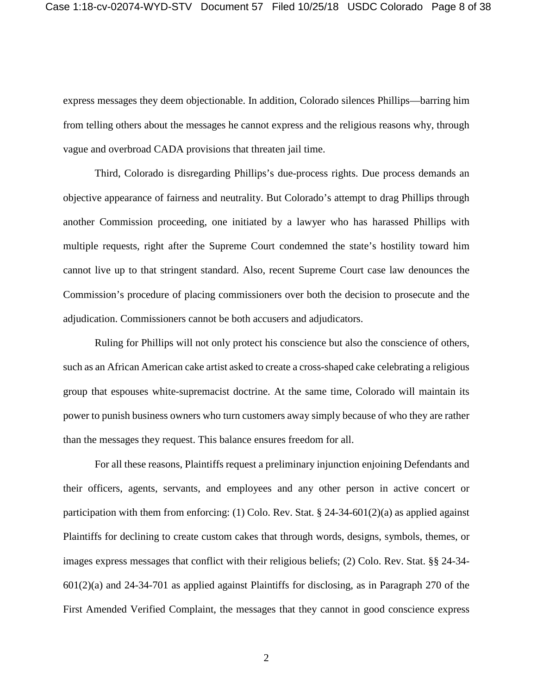express messages they deem objectionable. In addition, Colorado silences Phillips—barring him from telling others about the messages he cannot express and the religious reasons why, through vague and overbroad CADA provisions that threaten jail time.

Third, Colorado is disregarding Phillips's due-process rights. Due process demands an objective appearance of fairness and neutrality. But Colorado's attempt to drag Phillips through another Commission proceeding, one initiated by a lawyer who has harassed Phillips with multiple requests, right after the Supreme Court condemned the state's hostility toward him cannot live up to that stringent standard. Also, recent Supreme Court case law denounces the Commission's procedure of placing commissioners over both the decision to prosecute and the adjudication. Commissioners cannot be both accusers and adjudicators.

Ruling for Phillips will not only protect his conscience but also the conscience of others, such as an African American cake artist asked to create a cross-shaped cake celebrating a religious group that espouses white-supremacist doctrine. At the same time, Colorado will maintain its power to punish business owners who turn customers away simply because of who they are rather than the messages they request. This balance ensures freedom for all.

For all these reasons, Plaintiffs request a preliminary injunction enjoining Defendants and their officers, agents, servants, and employees and any other person in active concert or participation with them from enforcing: (1) Colo. Rev. Stat. § 24-34-601(2)(a) as applied against Plaintiffs for declining to create custom cakes that through words, designs, symbols, themes, or images express messages that conflict with their religious beliefs; (2) Colo. Rev. Stat. §§ 24-34- 601(2)(a) and 24-34-701 as applied against Plaintiffs for disclosing, as in Paragraph 270 of the First Amended Verified Complaint, the messages that they cannot in good conscience express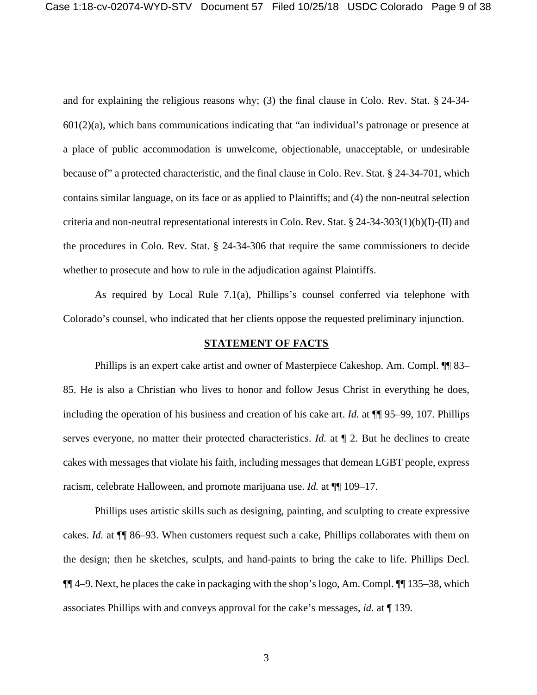and for explaining the religious reasons why; (3) the final clause in Colo. Rev. Stat. § 24-34-  $601(2)(a)$ , which bans communications indicating that "an individual's patronage or presence at a place of public accommodation is unwelcome, objectionable, unacceptable, or undesirable because of" a protected characteristic, and the final clause in Colo. Rev. Stat. § 24-34-701, which contains similar language, on its face or as applied to Plaintiffs; and (4) the non-neutral selection criteria and non-neutral representational interests in Colo. Rev. Stat. § 24-34-303(1)(b)(I)-(II) and the procedures in Colo. Rev. Stat. § 24-34-306 that require the same commissioners to decide whether to prosecute and how to rule in the adjudication against Plaintiffs.

As required by Local Rule 7.1(a), Phillips's counsel conferred via telephone with Colorado's counsel, who indicated that her clients oppose the requested preliminary injunction.

#### **STATEMENT OF FACTS**

<span id="page-8-0"></span>Phillips is an expert cake artist and owner of Masterpiece Cakeshop. Am. Compl. ¶¶ 83– 85. He is also a Christian who lives to honor and follow Jesus Christ in everything he does, including the operation of his business and creation of his cake art. *Id.* at ¶¶ 95–99, 107. Phillips serves everyone, no matter their protected characteristics. *Id.* at  $\P$  2. But he declines to create cakes with messages that violate his faith, including messages that demean LGBT people, express racism, celebrate Halloween, and promote marijuana use. *Id.* at ¶¶ 109–17.

Phillips uses artistic skills such as designing, painting, and sculpting to create expressive cakes. *Id.* at ¶¶ 86–93. When customers request such a cake, Phillips collaborates with them on the design; then he sketches, sculpts, and hand-paints to bring the cake to life. Phillips Decl. ¶¶ 4–9. Next, he places the cake in packaging with the shop's logo, Am. Compl. ¶¶ 135–38, which associates Phillips with and conveys approval for the cake's messages, *id.* at ¶ 139.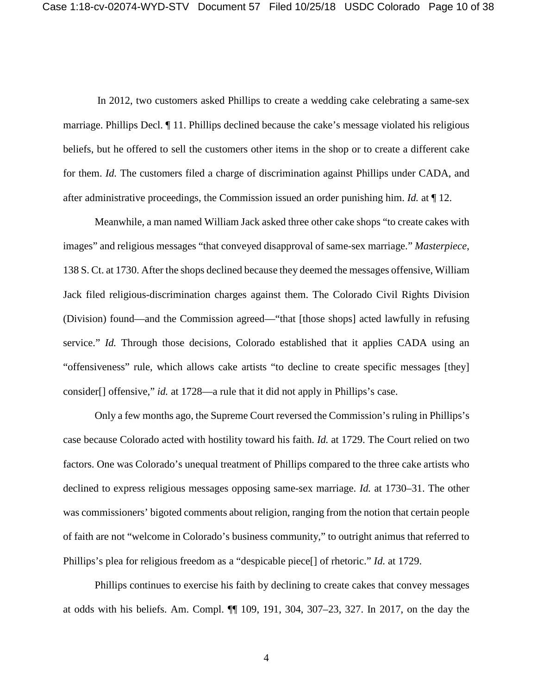In 2012, two customers asked Phillips to create a wedding cake celebrating a same-sex marriage. Phillips Decl. ¶ 11. Phillips declined because the cake's message violated his religious beliefs, but he offered to sell the customers other items in the shop or to create a different cake for them. *Id.* The customers filed a charge of discrimination against Phillips under CADA, and after administrative proceedings, the Commission issued an order punishing him. *Id.* at ¶ 12.

Meanwhile, a man named William Jack asked three other cake shops "to create cakes with images" and religious messages "that conveyed disapproval of same-sex marriage." *Masterpiece*, 138 S. Ct. at 1730. After the shops declined because they deemed the messages offensive, William Jack filed religious-discrimination charges against them. The Colorado Civil Rights Division (Division) found—and the Commission agreed—"that [those shops] acted lawfully in refusing service." *Id.* Through those decisions, Colorado established that it applies CADA using an "offensiveness" rule, which allows cake artists "to decline to create specific messages [they] consider[] offensive," *id.* at 1728—a rule that it did not apply in Phillips's case.

Only a few months ago, the Supreme Court reversed the Commission's ruling in Phillips's case because Colorado acted with hostility toward his faith. *Id.* at 1729. The Court relied on two factors. One was Colorado's unequal treatment of Phillips compared to the three cake artists who declined to express religious messages opposing same-sex marriage. *Id.* at 1730–31. The other was commissioners' bigoted comments about religion, ranging from the notion that certain people of faith are not "welcome in Colorado's business community," to outright animus that referred to Phillips's plea for religious freedom as a "despicable piece[] of rhetoric." *Id.* at 1729.

Phillips continues to exercise his faith by declining to create cakes that convey messages at odds with his beliefs. Am. Compl. ¶¶ 109, 191, 304, 307–23, 327. In 2017, on the day the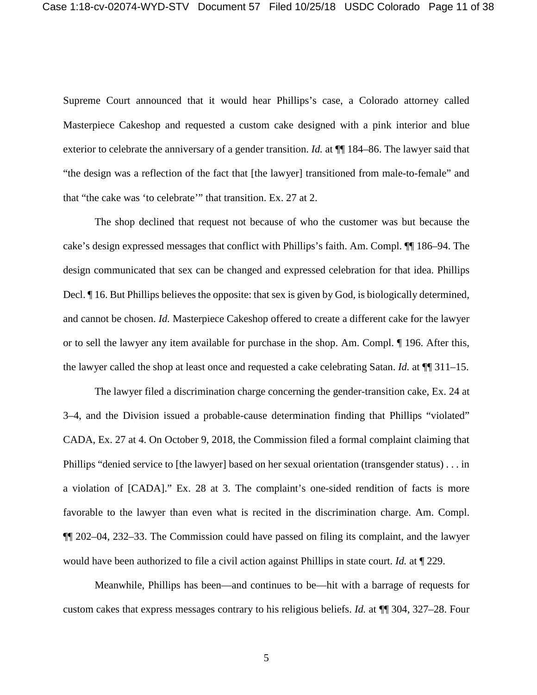Supreme Court announced that it would hear Phillips's case, a Colorado attorney called Masterpiece Cakeshop and requested a custom cake designed with a pink interior and blue exterior to celebrate the anniversary of a gender transition. *Id.* at  $\P$  184–86. The lawyer said that "the design was a reflection of the fact that [the lawyer] transitioned from male-to-female" and that "the cake was 'to celebrate'" that transition. Ex. 27 at 2.

The shop declined that request not because of who the customer was but because the cake's design expressed messages that conflict with Phillips's faith. Am. Compl. ¶¶ 186–94. The design communicated that sex can be changed and expressed celebration for that idea. Phillips Decl. ¶ 16. But Phillips believes the opposite: that sex is given by God, is biologically determined, and cannot be chosen. *Id.* Masterpiece Cakeshop offered to create a different cake for the lawyer or to sell the lawyer any item available for purchase in the shop. Am. Compl. ¶ 196. After this, the lawyer called the shop at least once and requested a cake celebrating Satan. *Id.* at ¶¶ 311–15.

The lawyer filed a discrimination charge concerning the gender-transition cake, Ex. 24 at 3–4, and the Division issued a probable-cause determination finding that Phillips "violated" CADA, Ex. 27 at 4. On October 9, 2018, the Commission filed a formal complaint claiming that Phillips "denied service to [the lawyer] based on her sexual orientation (transgender status) . . . in a violation of [CADA]." Ex. 28 at 3. The complaint's one-sided rendition of facts is more favorable to the lawyer than even what is recited in the discrimination charge. Am. Compl. ¶¶ 202–04, 232–33. The Commission could have passed on filing its complaint, and the lawyer would have been authorized to file a civil action against Phillips in state court. *Id.* at ¶ 229.

Meanwhile, Phillips has been—and continues to be—hit with a barrage of requests for custom cakes that express messages contrary to his religious beliefs. *Id.* at ¶¶ 304, 327–28. Four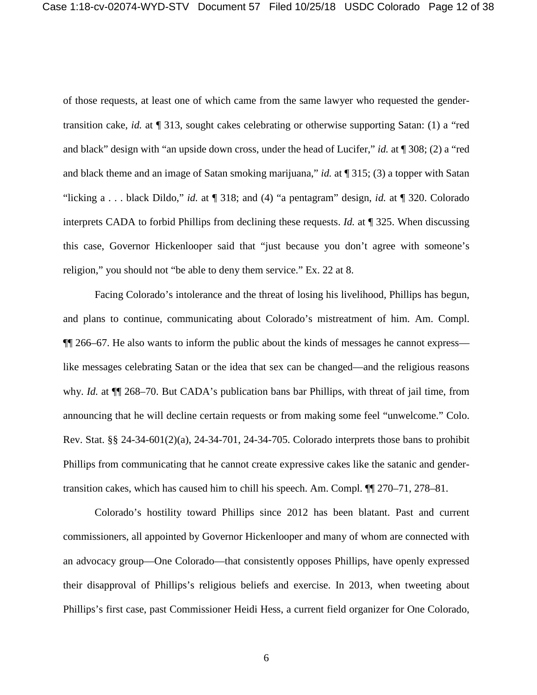of those requests, at least one of which came from the same lawyer who requested the gendertransition cake, *id.* at ¶ 313, sought cakes celebrating or otherwise supporting Satan: (1) a "red and black" design with "an upside down cross, under the head of Lucifer," *id.* at ¶ 308; (2) a "red and black theme and an image of Satan smoking marijuana," *id.* at ¶ 315; (3) a topper with Satan "licking a . . . black Dildo," *id.* at ¶ 318; and (4) "a pentagram" design, *id.* at ¶ 320. Colorado interprets CADA to forbid Phillips from declining these requests. *Id.* at ¶ 325. When discussing this case, Governor Hickenlooper said that "just because you don't agree with someone's religion," you should not "be able to deny them service." Ex. 22 at 8.

Facing Colorado's intolerance and the threat of losing his livelihood, Phillips has begun, and plans to continue, communicating about Colorado's mistreatment of him. Am. Compl. ¶¶ 266–67. He also wants to inform the public about the kinds of messages he cannot express like messages celebrating Satan or the idea that sex can be changed—and the religious reasons why. *Id.* at ¶¶ 268–70. But CADA's publication bans bar Phillips, with threat of jail time, from announcing that he will decline certain requests or from making some feel "unwelcome." Colo. Rev. Stat. §§ 24-34-601(2)(a), 24-34-701, 24-34-705. Colorado interprets those bans to prohibit Phillips from communicating that he cannot create expressive cakes like the satanic and gendertransition cakes, which has caused him to chill his speech. Am. Compl. ¶¶ 270–71, 278–81.

Colorado's hostility toward Phillips since 2012 has been blatant. Past and current commissioners, all appointed by Governor Hickenlooper and many of whom are connected with an advocacy group—One Colorado—that consistently opposes Phillips, have openly expressed their disapproval of Phillips's religious beliefs and exercise. In 2013, when tweeting about Phillips's first case, past Commissioner Heidi Hess, a current field organizer for One Colorado,

6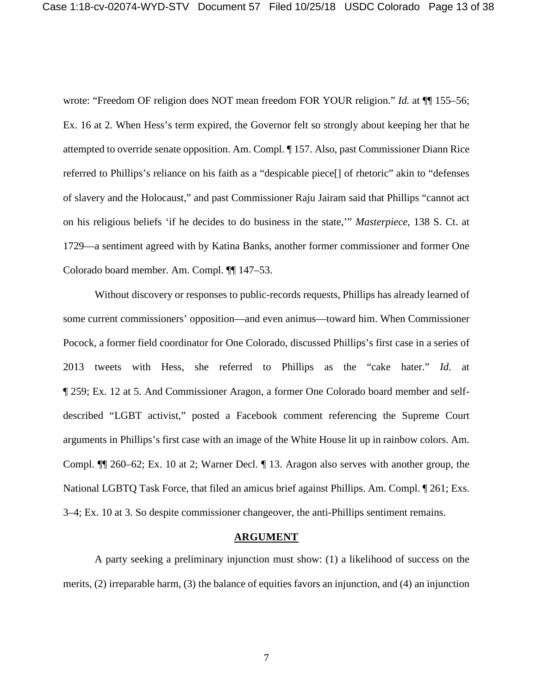wrote: "Freedom OF religion does NOT mean freedom FOR YOUR religion." *Id.* at  $\P$  155–56; Ex. 16 at 2. When Hess's term expired, the Governor felt so strongly about keeping her that he attempted to override senate opposition. Am. Compl. ¶ 157. Also, past Commissioner Diann Rice referred to Phillips's reliance on his faith as a "despicable piece[] of rhetoric" akin to "defenses of slavery and the Holocaust," and past Commissioner Raju Jairam said that Phillips "cannot act on his religious beliefs 'if he decides to do business in the state,'" *Masterpiece*, 138 S. Ct. at 1729—a sentiment agreed with by Katina Banks, another former commissioner and former One Colorado board member. Am. Compl. ¶¶ 147–53.

Without discovery or responses to public-records requests, Phillips has already learned of some current commissioners' opposition—and even animus—toward him. When Commissioner Pocock, a former field coordinator for One Colorado, discussed Phillips's first case in a series of 2013 tweets with Hess, she referred to Phillips as the "cake hater." *Id.* at ¶ 259; Ex. 12 at 5. And Commissioner Aragon, a former One Colorado board member and selfdescribed "LGBT activist," posted a Facebook comment referencing the Supreme Court arguments in Phillips's first case with an image of the White House lit up in rainbow colors. Am. Compl. ¶¶ 260–62; Ex. 10 at 2; Warner Decl. ¶ 13. Aragon also serves with another group, the National LGBTQ Task Force, that filed an amicus brief against Phillips. Am. Compl. ¶ 261; Exs. 3–4; Ex. 10 at 3. So despite commissioner changeover, the anti-Phillips sentiment remains.

## **ARGUMENT**

<span id="page-12-0"></span>A party seeking a preliminary injunction must show: (1) a likelihood of success on the merits, (2) irreparable harm, (3) the balance of equities favors an injunction, and (4) an injunction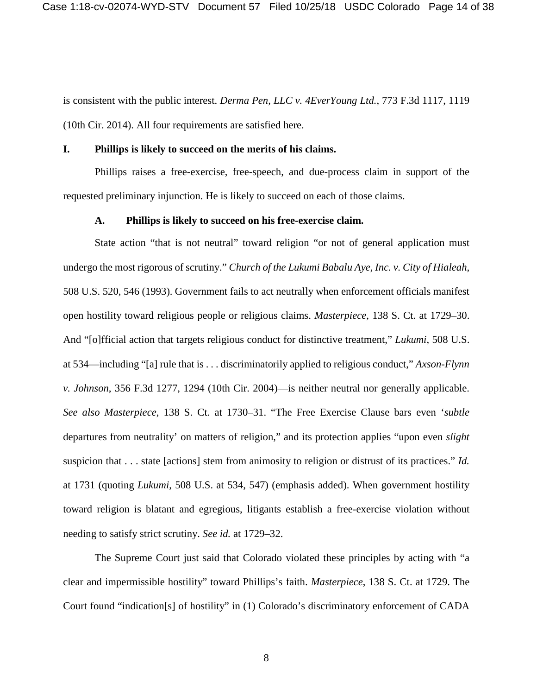is consistent with the public interest. *Derma Pen, LLC v. 4EverYoung Ltd.*, 773 F.3d 1117, 1119 (10th Cir. 2014). All four requirements are satisfied here.

#### <span id="page-13-0"></span>**I. Phillips is likely to succeed on the merits of his claims.**

Phillips raises a free-exercise, free-speech, and due-process claim in support of the requested preliminary injunction. He is likely to succeed on each of those claims.

#### **A. Phillips is likely to succeed on his free-exercise claim.**

<span id="page-13-1"></span>State action "that is not neutral" toward religion "or not of general application must undergo the most rigorous of scrutiny." *Church of the Lukumi Babalu Aye, Inc. v. City of Hialeah*, 508 U.S. 520, 546 (1993). Government fails to act neutrally when enforcement officials manifest open hostility toward religious people or religious claims. *Masterpiece*, 138 S. Ct. at 1729–30. And "[o]fficial action that targets religious conduct for distinctive treatment," *Lukumi*, 508 U.S. at 534—including "[a] rule that is . . . discriminatorily applied to religious conduct," *Axson-Flynn v. Johnson*, 356 F.3d 1277, 1294 (10th Cir. 2004)—is neither neutral nor generally applicable. *See also Masterpiece*, 138 S. Ct. at 1730–31. "The Free Exercise Clause bars even '*subtle* departures from neutrality' on matters of religion," and its protection applies "upon even *slight* suspicion that . . . state [actions] stem from animosity to religion or distrust of its practices." *Id.* at 1731 (quoting *Lukumi*, 508 U.S. at 534, 547) (emphasis added). When government hostility toward religion is blatant and egregious, litigants establish a free-exercise violation without needing to satisfy strict scrutiny. *See id.* at 1729–32.

The Supreme Court just said that Colorado violated these principles by acting with "a clear and impermissible hostility" toward Phillips's faith. *Masterpiece*, 138 S. Ct. at 1729. The Court found "indication[s] of hostility" in (1) Colorado's discriminatory enforcement of CADA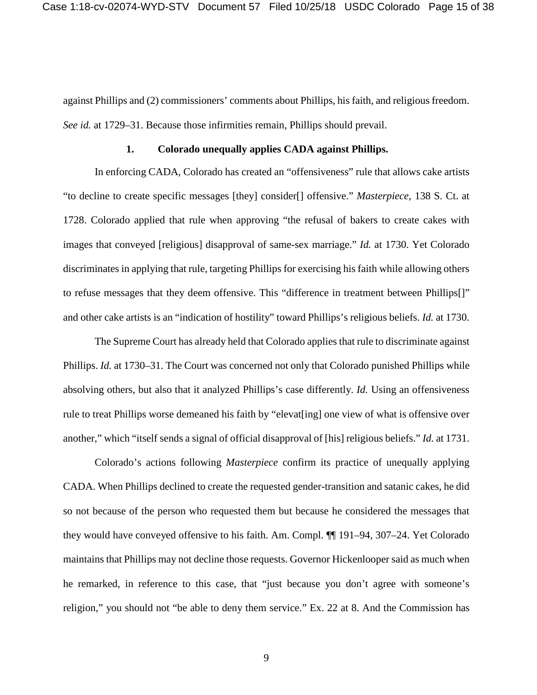against Phillips and (2) commissioners' comments about Phillips, his faith, and religious freedom. *See id.* at 1729–31. Because those infirmities remain, Phillips should prevail.

#### **1. Colorado unequally applies CADA against Phillips.**

<span id="page-14-0"></span>In enforcing CADA, Colorado has created an "offensiveness" rule that allows cake artists "to decline to create specific messages [they] consider[] offensive." *Masterpiece*, 138 S. Ct. at 1728. Colorado applied that rule when approving "the refusal of bakers to create cakes with images that conveyed [religious] disapproval of same-sex marriage." *Id.* at 1730. Yet Colorado discriminates in applying that rule, targeting Phillips for exercising his faith while allowing others to refuse messages that they deem offensive. This "difference in treatment between Phillips[]" and other cake artists is an "indication of hostility" toward Phillips's religious beliefs. *Id.* at 1730.

The Supreme Court has already held that Colorado applies that rule to discriminate against Phillips. *Id.* at 1730–31. The Court was concerned not only that Colorado punished Phillips while absolving others, but also that it analyzed Phillips's case differently. *Id.* Using an offensiveness rule to treat Phillips worse demeaned his faith by "elevat[ing] one view of what is offensive over another," which "itself sends a signal of official disapproval of [his] religious beliefs." *Id.* at 1731.

Colorado's actions following *Masterpiece* confirm its practice of unequally applying CADA. When Phillips declined to create the requested gender-transition and satanic cakes, he did so not because of the person who requested them but because he considered the messages that they would have conveyed offensive to his faith. Am. Compl. ¶¶ 191–94, 307–24. Yet Colorado maintains that Phillips may not decline those requests. Governor Hickenlooper said as much when he remarked, in reference to this case, that "just because you don't agree with someone's religion," you should not "be able to deny them service." Ex. 22 at 8. And the Commission has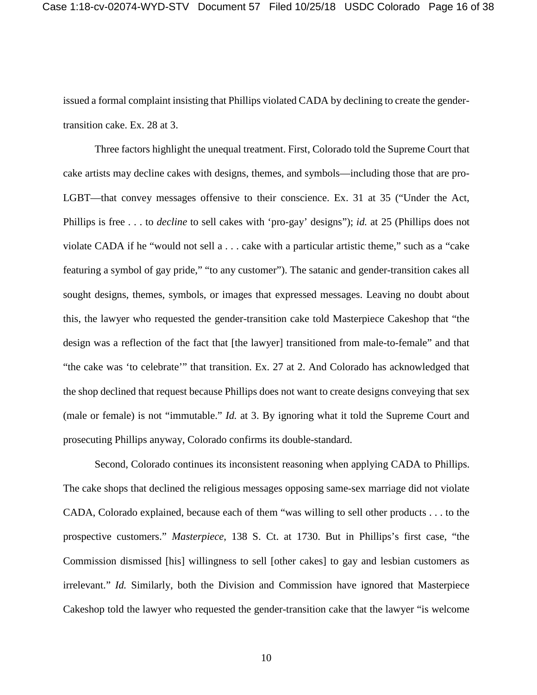issued a formal complaint insisting that Phillips violated CADA by declining to create the gendertransition cake. Ex. 28 at 3.

Three factors highlight the unequal treatment. First, Colorado told the Supreme Court that cake artists may decline cakes with designs, themes, and symbols—including those that are pro-LGBT—that convey messages offensive to their conscience. Ex. 31 at 35 ("Under the Act, Phillips is free . . . to *decline* to sell cakes with 'pro-gay' designs"); *id.* at 25 (Phillips does not violate CADA if he "would not sell a . . . cake with a particular artistic theme," such as a "cake featuring a symbol of gay pride," "to any customer"). The satanic and gender-transition cakes all sought designs, themes, symbols, or images that expressed messages. Leaving no doubt about this, the lawyer who requested the gender-transition cake told Masterpiece Cakeshop that "the design was a reflection of the fact that [the lawyer] transitioned from male-to-female" and that "the cake was 'to celebrate'" that transition. Ex. 27 at 2. And Colorado has acknowledged that the shop declined that request because Phillips does not want to create designs conveying that sex (male or female) is not "immutable." *Id.* at 3. By ignoring what it told the Supreme Court and prosecuting Phillips anyway, Colorado confirms its double-standard.

Second, Colorado continues its inconsistent reasoning when applying CADA to Phillips. The cake shops that declined the religious messages opposing same-sex marriage did not violate CADA, Colorado explained, because each of them "was willing to sell other products . . . to the prospective customers." *Masterpiece*, 138 S. Ct. at 1730. But in Phillips's first case, "the Commission dismissed [his] willingness to sell [other cakes] to gay and lesbian customers as irrelevant." *Id.* Similarly, both the Division and Commission have ignored that Masterpiece Cakeshop told the lawyer who requested the gender-transition cake that the lawyer "is welcome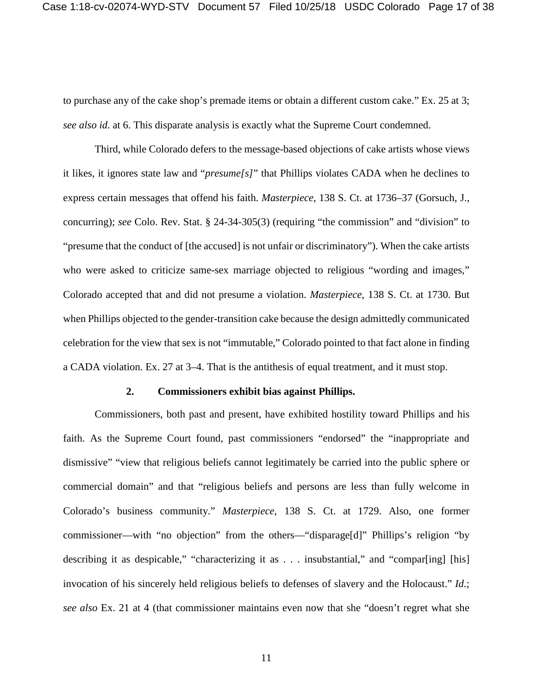to purchase any of the cake shop's premade items or obtain a different custom cake." Ex. 25 at 3; *see also id.* at 6. This disparate analysis is exactly what the Supreme Court condemned.

Third, while Colorado defers to the message-based objections of cake artists whose views it likes, it ignores state law and "*presume[s]*" that Phillips violates CADA when he declines to express certain messages that offend his faith. *Masterpiece*, 138 S. Ct. at 1736–37 (Gorsuch, J., concurring); *see* Colo. Rev. Stat. § 24-34-305(3) (requiring "the commission" and "division" to "presume that the conduct of [the accused] is not unfair or discriminatory"). When the cake artists who were asked to criticize same-sex marriage objected to religious "wording and images," Colorado accepted that and did not presume a violation. *Masterpiece*, 138 S. Ct. at 1730. But when Phillips objected to the gender-transition cake because the design admittedly communicated celebration for the view that sex is not "immutable," Colorado pointed to that fact alone in finding a CADA violation. Ex. 27 at 3–4. That is the antithesis of equal treatment, and it must stop.

#### **2. Commissioners exhibit bias against Phillips.**

<span id="page-16-0"></span>Commissioners, both past and present, have exhibited hostility toward Phillips and his faith. As the Supreme Court found, past commissioners "endorsed" the "inappropriate and dismissive" "view that religious beliefs cannot legitimately be carried into the public sphere or commercial domain" and that "religious beliefs and persons are less than fully welcome in Colorado's business community." *Masterpiece*, 138 S. Ct. at 1729. Also, one former commissioner—with "no objection" from the others—"disparage[d]" Phillips's religion "by describing it as despicable," "characterizing it as . . . insubstantial," and "compar[ing] [his] invocation of his sincerely held religious beliefs to defenses of slavery and the Holocaust." *Id.*; *see also* Ex. 21 at 4 (that commissioner maintains even now that she "doesn't regret what she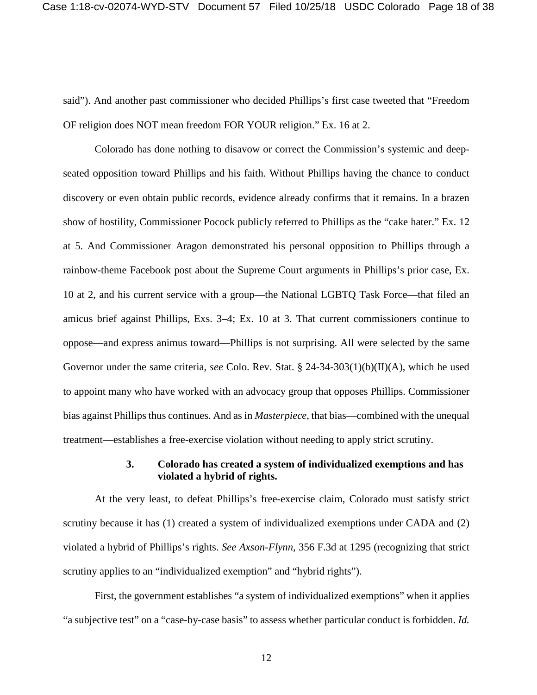said"). And another past commissioner who decided Phillips's first case tweeted that "Freedom OF religion does NOT mean freedom FOR YOUR religion." Ex. 16 at 2.

Colorado has done nothing to disavow or correct the Commission's systemic and deepseated opposition toward Phillips and his faith. Without Phillips having the chance to conduct discovery or even obtain public records, evidence already confirms that it remains. In a brazen show of hostility, Commissioner Pocock publicly referred to Phillips as the "cake hater." Ex. 12 at 5. And Commissioner Aragon demonstrated his personal opposition to Phillips through a rainbow-theme Facebook post about the Supreme Court arguments in Phillips's prior case, Ex. 10 at 2, and his current service with a group—the National LGBTQ Task Force—that filed an amicus brief against Phillips, Exs. 3–4; Ex. 10 at 3. That current commissioners continue to oppose—and express animus toward—Phillips is not surprising. All were selected by the same Governor under the same criteria, *see* Colo. Rev. Stat. § 24-34-303(1)(b)(II)(A), which he used to appoint many who have worked with an advocacy group that opposes Phillips. Commissioner bias against Phillips thus continues. And as in *Masterpiece*, that bias—combined with the unequal treatment—establishes a free-exercise violation without needing to apply strict scrutiny.

## **3. Colorado has created a system of individualized exemptions and has violated a hybrid of rights.**

<span id="page-17-0"></span>At the very least, to defeat Phillips's free-exercise claim, Colorado must satisfy strict scrutiny because it has (1) created a system of individualized exemptions under CADA and (2) violated a hybrid of Phillips's rights. *See Axson-Flynn*, 356 F.3d at 1295 (recognizing that strict scrutiny applies to an "individualized exemption" and "hybrid rights").

First, the government establishes "a system of individualized exemptions" when it applies "a subjective test" on a "case-by-case basis" to assess whether particular conduct is forbidden. *Id.*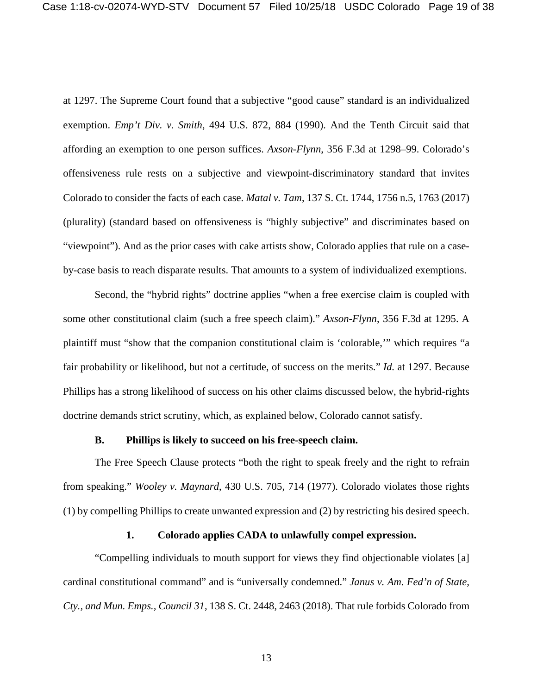at 1297. The Supreme Court found that a subjective "good cause" standard is an individualized exemption. *Emp't Div. v. Smith*, 494 U.S. 872, 884 (1990). And the Tenth Circuit said that affording an exemption to one person suffices. *Axson-Flynn*, 356 F.3d at 1298–99. Colorado's offensiveness rule rests on a subjective and viewpoint-discriminatory standard that invites Colorado to consider the facts of each case. *Matal v. Tam*, 137 S. Ct. 1744, 1756 n.5, 1763 (2017) (plurality) (standard based on offensiveness is "highly subjective" and discriminates based on "viewpoint"). And as the prior cases with cake artists show, Colorado applies that rule on a caseby-case basis to reach disparate results. That amounts to a system of individualized exemptions.

Second, the "hybrid rights" doctrine applies "when a free exercise claim is coupled with some other constitutional claim (such a free speech claim)." *Axson-Flynn*, 356 F.3d at 1295. A plaintiff must "show that the companion constitutional claim is 'colorable,'" which requires "a fair probability or likelihood, but not a certitude, of success on the merits." *Id.* at 1297. Because Phillips has a strong likelihood of success on his other claims discussed below, the hybrid-rights doctrine demands strict scrutiny, which, as explained below, Colorado cannot satisfy.

#### **B. Phillips is likely to succeed on his free-speech claim.**

<span id="page-18-0"></span>The Free Speech Clause protects "both the right to speak freely and the right to refrain from speaking." *Wooley v. Maynard*, 430 U.S. 705, 714 (1977). Colorado violates those rights (1) by compelling Phillips to create unwanted expression and (2) by restricting his desired speech.

## **1. Colorado applies CADA to unlawfully compel expression.**

<span id="page-18-1"></span>"Compelling individuals to mouth support for views they find objectionable violates [a] cardinal constitutional command" and is "universally condemned." *Janus v. Am. Fed'n of State, Cty., and Mun. Emps., Council 31*, 138 S. Ct. 2448, 2463 (2018). That rule forbids Colorado from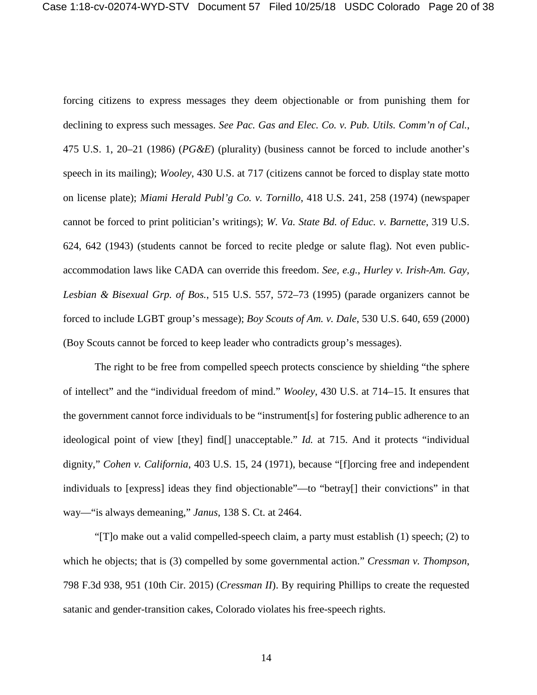forcing citizens to express messages they deem objectionable or from punishing them for declining to express such messages. *See Pac. Gas and Elec. Co. v. Pub. Utils. Comm'n of Cal.*, 475 U.S. 1, 20–21 (1986) (*PG&E*) (plurality) (business cannot be forced to include another's speech in its mailing); *Wooley*, 430 U.S. at 717 (citizens cannot be forced to display state motto on license plate); *Miami Herald Publ'g Co. v. Tornillo*, 418 U.S. 241, 258 (1974) (newspaper cannot be forced to print politician's writings); *W. Va. State Bd. of Educ. v. Barnette*, 319 U.S. 624, 642 (1943) (students cannot be forced to recite pledge or salute flag). Not even publicaccommodation laws like CADA can override this freedom. *See, e.g.*, *Hurley v. Irish-Am. Gay, Lesbian & Bisexual Grp. of Bos.*, 515 U.S. 557, 572–73 (1995) (parade organizers cannot be forced to include LGBT group's message); *Boy Scouts of Am. v. Dale*, 530 U.S. 640, 659 (2000) (Boy Scouts cannot be forced to keep leader who contradicts group's messages).

The right to be free from compelled speech protects conscience by shielding "the sphere of intellect" and the "individual freedom of mind." *Wooley*, 430 U.S. at 714–15. It ensures that the government cannot force individuals to be "instrument[s] for fostering public adherence to an ideological point of view [they] find[] unacceptable." *Id.* at 715. And it protects "individual dignity," *Cohen v. California*, 403 U.S. 15, 24 (1971), because "[f]orcing free and independent individuals to [express] ideas they find objectionable"—to "betray[] their convictions" in that way—"is always demeaning," *Janus*, 138 S. Ct. at 2464.

"[T]o make out a valid compelled-speech claim, a party must establish (1) speech; (2) to which he objects; that is (3) compelled by some governmental action." *Cressman v. Thompson*, 798 F.3d 938, 951 (10th Cir. 2015) (*Cressman II*). By requiring Phillips to create the requested satanic and gender-transition cakes, Colorado violates his free-speech rights.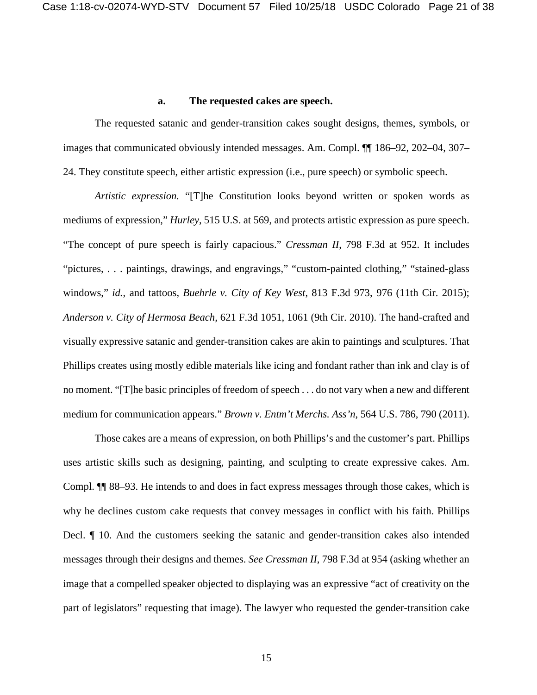### **a. The requested cakes are speech.**

<span id="page-20-0"></span>The requested satanic and gender-transition cakes sought designs, themes, symbols, or images that communicated obviously intended messages. Am. Compl. ¶¶ 186–92, 202–04, 307– 24. They constitute speech, either artistic expression (i.e., pure speech) or symbolic speech.

*Artistic expression.* "[T]he Constitution looks beyond written or spoken words as mediums of expression," *Hurley*, 515 U.S. at 569, and protects artistic expression as pure speech. "The concept of pure speech is fairly capacious." *Cressman II*, 798 F.3d at 952. It includes "pictures, . . . paintings, drawings, and engravings," "custom-painted clothing," "stained-glass windows," *id.*, and tattoos, *Buehrle v. City of Key West*, 813 F.3d 973, 976 (11th Cir. 2015); *Anderson v. City of Hermosa Beach*, 621 F.3d 1051, 1061 (9th Cir. 2010). The hand-crafted and visually expressive satanic and gender-transition cakes are akin to paintings and sculptures. That Phillips creates using mostly edible materials like icing and fondant rather than ink and clay is of no moment. "[T]he basic principles of freedom of speech . . . do not vary when a new and different medium for communication appears." *Brown v. Entm't Merchs. Ass'n*, 564 U.S. 786, 790 (2011).

Those cakes are a means of expression, on both Phillips's and the customer's part. Phillips uses artistic skills such as designing, painting, and sculpting to create expressive cakes. Am. Compl. ¶¶ 88–93. He intends to and does in fact express messages through those cakes, which is why he declines custom cake requests that convey messages in conflict with his faith. Phillips Decl. ¶ 10. And the customers seeking the satanic and gender-transition cakes also intended messages through their designs and themes. *See Cressman II*, 798 F.3d at 954 (asking whether an image that a compelled speaker objected to displaying was an expressive "act of creativity on the part of legislators" requesting that image). The lawyer who requested the gender-transition cake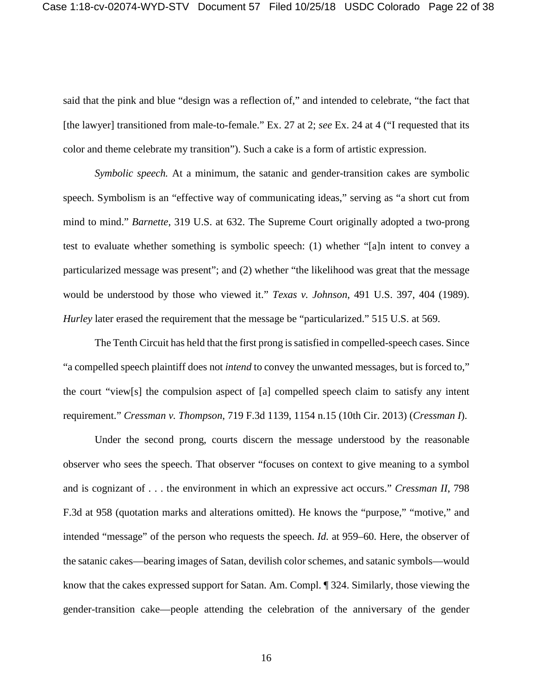said that the pink and blue "design was a reflection of," and intended to celebrate, "the fact that [the lawyer] transitioned from male-to-female." Ex. 27 at 2; *see* Ex. 24 at 4 ("I requested that its color and theme celebrate my transition"). Such a cake is a form of artistic expression.

*Symbolic speech.* At a minimum, the satanic and gender-transition cakes are symbolic speech. Symbolism is an "effective way of communicating ideas," serving as "a short cut from mind to mind." *Barnette*, 319 U.S. at 632. The Supreme Court originally adopted a two-prong test to evaluate whether something is symbolic speech: (1) whether "[a]n intent to convey a particularized message was present"; and (2) whether "the likelihood was great that the message would be understood by those who viewed it." *Texas v. Johnson*, 491 U.S. 397, 404 (1989). *Hurley* later erased the requirement that the message be "particularized." 515 U.S. at 569.

The Tenth Circuit has held that the first prong is satisfied in compelled-speech cases. Since "a compelled speech plaintiff does not *intend* to convey the unwanted messages, but is forced to," the court "view[s] the compulsion aspect of [a] compelled speech claim to satisfy any intent requirement." *Cressman v. Thompson*, 719 F.3d 1139, 1154 n.15 (10th Cir. 2013) (*Cressman I*).

Under the second prong, courts discern the message understood by the reasonable observer who sees the speech. That observer "focuses on context to give meaning to a symbol and is cognizant of . . . the environment in which an expressive act occurs." *Cressman II*, 798 F.3d at 958 (quotation marks and alterations omitted). He knows the "purpose," "motive," and intended "message" of the person who requests the speech. *Id.* at 959–60. Here, the observer of the satanic cakes—bearing images of Satan, devilish color schemes, and satanic symbols—would know that the cakes expressed support for Satan. Am. Compl. ¶ 324. Similarly, those viewing the gender-transition cake—people attending the celebration of the anniversary of the gender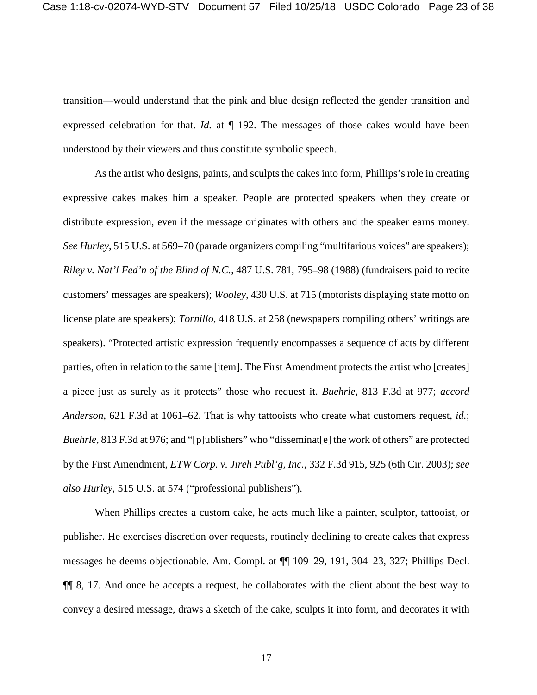transition—would understand that the pink and blue design reflected the gender transition and expressed celebration for that. *Id.* at ¶ 192. The messages of those cakes would have been understood by their viewers and thus constitute symbolic speech.

As the artist who designs, paints, and sculpts the cakes into form, Phillips's role in creating expressive cakes makes him a speaker. People are protected speakers when they create or distribute expression, even if the message originates with others and the speaker earns money. *See Hurley*, 515 U.S. at 569–70 (parade organizers compiling "multifarious voices" are speakers); *Riley v. Nat'l Fed'n of the Blind of N.C.*, 487 U.S. 781, 795–98 (1988) (fundraisers paid to recite customers' messages are speakers); *Wooley*, 430 U.S. at 715 (motorists displaying state motto on license plate are speakers); *Tornillo*, 418 U.S. at 258 (newspapers compiling others' writings are speakers). "Protected artistic expression frequently encompasses a sequence of acts by different parties, often in relation to the same [item]. The First Amendment protects the artist who [creates] a piece just as surely as it protects" those who request it. *Buehrle*, 813 F.3d at 977; *accord Anderson*, 621 F.3d at 1061–62. That is why tattooists who create what customers request, *id.*; *Buehrle*, 813 F.3d at 976; and "[p]ublishers" who "disseminat[e] the work of others" are protected by the First Amendment, *ETW Corp. v. Jireh Publ'g, Inc.*, 332 F.3d 915, 925 (6th Cir. 2003); *see also Hurley*, 515 U.S. at 574 ("professional publishers").

When Phillips creates a custom cake, he acts much like a painter, sculptor, tattooist, or publisher. He exercises discretion over requests, routinely declining to create cakes that express messages he deems objectionable. Am. Compl. at ¶¶ 109–29, 191, 304–23, 327; Phillips Decl. ¶¶ 8, 17. And once he accepts a request, he collaborates with the client about the best way to convey a desired message, draws a sketch of the cake, sculpts it into form, and decorates it with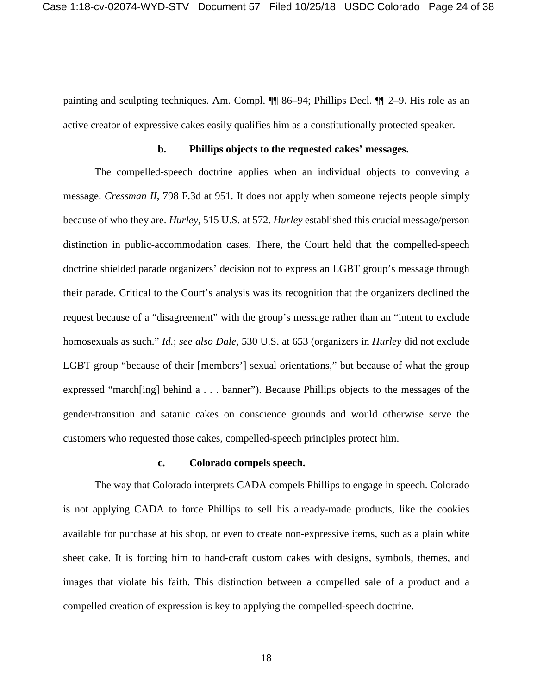painting and sculpting techniques. Am. Compl. ¶¶ 86–94; Phillips Decl. ¶¶ 2–9. His role as an active creator of expressive cakes easily qualifies him as a constitutionally protected speaker.

#### **b. Phillips objects to the requested cakes' messages.**

<span id="page-23-0"></span>The compelled-speech doctrine applies when an individual objects to conveying a message. *Cressman II*, 798 F.3d at 951. It does not apply when someone rejects people simply because of who they are. *Hurley*, 515 U.S. at 572. *Hurley* established this crucial message/person distinction in public-accommodation cases. There, the Court held that the compelled-speech doctrine shielded parade organizers' decision not to express an LGBT group's message through their parade. Critical to the Court's analysis was its recognition that the organizers declined the request because of a "disagreement" with the group's message rather than an "intent to exclude homosexuals as such." *Id.*; *see also Dale*, 530 U.S. at 653 (organizers in *Hurley* did not exclude LGBT group "because of their [members'] sexual orientations," but because of what the group expressed "march[ing] behind a . . . banner"). Because Phillips objects to the messages of the gender-transition and satanic cakes on conscience grounds and would otherwise serve the customers who requested those cakes, compelled-speech principles protect him.

#### **c. Colorado compels speech.**

<span id="page-23-1"></span>The way that Colorado interprets CADA compels Phillips to engage in speech. Colorado is not applying CADA to force Phillips to sell his already-made products, like the cookies available for purchase at his shop, or even to create non-expressive items, such as a plain white sheet cake. It is forcing him to hand-craft custom cakes with designs, symbols, themes, and images that violate his faith. This distinction between a compelled sale of a product and a compelled creation of expression is key to applying the compelled-speech doctrine.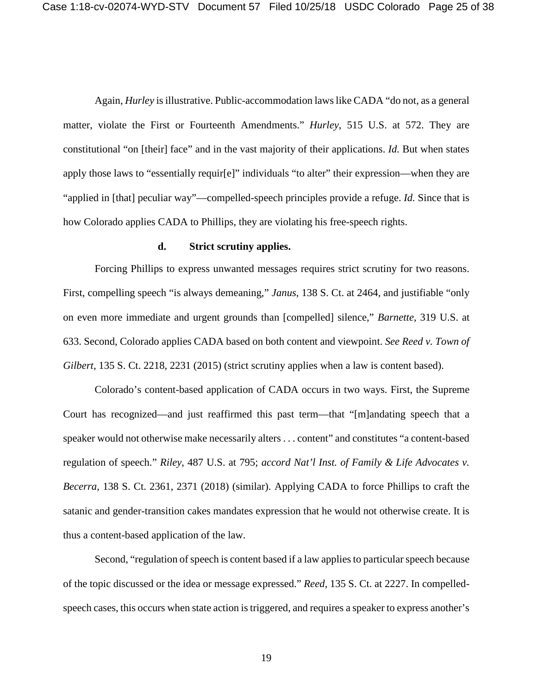Again, *Hurley* is illustrative. Public-accommodation laws like CADA "do not, as a general matter, violate the First or Fourteenth Amendments." *Hurley*, 515 U.S. at 572. They are constitutional "on [their] face" and in the vast majority of their applications. *Id.* But when states apply those laws to "essentially requir[e]" individuals "to alter" their expression—when they are "applied in [that] peculiar way"—compelled-speech principles provide a refuge. *Id.* Since that is how Colorado applies CADA to Phillips, they are violating his free-speech rights.

### **d. Strict scrutiny applies.**

<span id="page-24-0"></span>Forcing Phillips to express unwanted messages requires strict scrutiny for two reasons. First, compelling speech "is always demeaning," *Janus*, 138 S. Ct. at 2464, and justifiable "only on even more immediate and urgent grounds than [compelled] silence," *Barnette*, 319 U.S. at 633. Second, Colorado applies CADA based on both content and viewpoint. *See Reed v. Town of Gilbert*, 135 S. Ct. 2218, 2231 (2015) (strict scrutiny applies when a law is content based).

Colorado's content-based application of CADA occurs in two ways. First, the Supreme Court has recognized—and just reaffirmed this past term—that "[m]andating speech that a speaker would not otherwise make necessarily alters . . . content" and constitutes "a content-based regulation of speech." *Riley*, 487 U.S. at 795; *accord Nat'l Inst. of Family & Life Advocates v. Becerra*, 138 S. Ct. 2361, 2371 (2018) (similar). Applying CADA to force Phillips to craft the satanic and gender-transition cakes mandates expression that he would not otherwise create. It is thus a content-based application of the law.

Second, "regulation of speech is content based if a law applies to particular speech because of the topic discussed or the idea or message expressed." *Reed*, 135 S. Ct. at 2227. In compelledspeech cases, this occurs when state action is triggered, and requires a speaker to express another's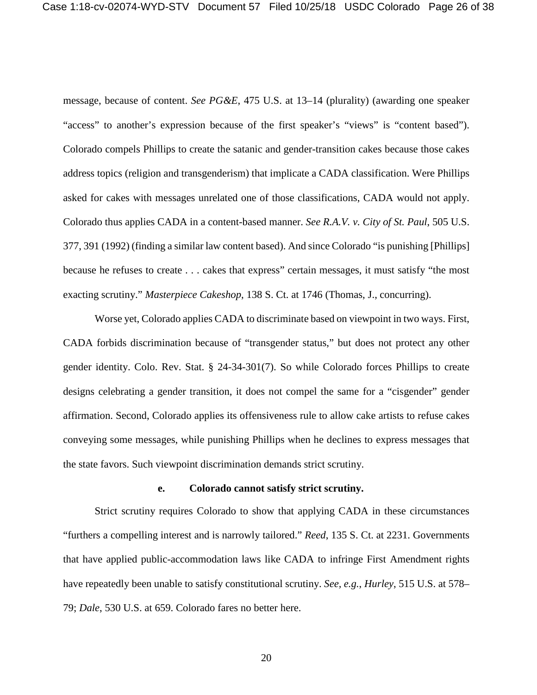message, because of content. *See PG&E*, 475 U.S. at 13–14 (plurality) (awarding one speaker "access" to another's expression because of the first speaker's "views" is "content based"). Colorado compels Phillips to create the satanic and gender-transition cakes because those cakes address topics (religion and transgenderism) that implicate a CADA classification. Were Phillips asked for cakes with messages unrelated one of those classifications, CADA would not apply. Colorado thus applies CADA in a content-based manner. *See R.A.V. v. City of St. Paul*, 505 U.S. 377, 391 (1992) (finding a similar law content based). And since Colorado "is punishing [Phillips] because he refuses to create . . . cakes that express" certain messages, it must satisfy "the most exacting scrutiny." *Masterpiece Cakeshop*, 138 S. Ct. at 1746 (Thomas, J., concurring).

Worse yet, Colorado applies CADA to discriminate based on viewpoint in two ways. First, CADA forbids discrimination because of "transgender status," but does not protect any other gender identity. Colo. Rev. Stat. § 24-34-301(7). So while Colorado forces Phillips to create designs celebrating a gender transition, it does not compel the same for a "cisgender" gender affirmation. Second, Colorado applies its offensiveness rule to allow cake artists to refuse cakes conveying some messages, while punishing Phillips when he declines to express messages that the state favors. Such viewpoint discrimination demands strict scrutiny.

#### **e. Colorado cannot satisfy strict scrutiny.**

<span id="page-25-0"></span>Strict scrutiny requires Colorado to show that applying CADA in these circumstances "furthers a compelling interest and is narrowly tailored." *Reed*, 135 S. Ct. at 2231. Governments that have applied public-accommodation laws like CADA to infringe First Amendment rights have repeatedly been unable to satisfy constitutional scrutiny. *See, e.g.*, *Hurley*, 515 U.S. at 578– 79; *Dale*, 530 U.S. at 659. Colorado fares no better here.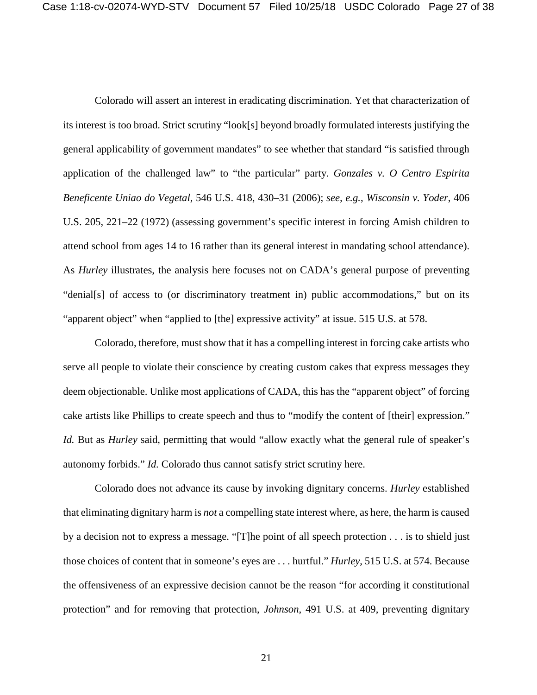Colorado will assert an interest in eradicating discrimination. Yet that characterization of its interest is too broad. Strict scrutiny "look[s] beyond broadly formulated interests justifying the general applicability of government mandates" to see whether that standard "is satisfied through application of the challenged law" to "the particular" party. *Gonzales v. O Centro Espirita Beneficente Uniao do Vegetal*, 546 U.S. 418, 430–31 (2006); *see, e.g.*, *Wisconsin v. Yoder*, 406 U.S. 205, 221–22 (1972) (assessing government's specific interest in forcing Amish children to attend school from ages 14 to 16 rather than its general interest in mandating school attendance). As *Hurley* illustrates, the analysis here focuses not on CADA's general purpose of preventing "denial[s] of access to (or discriminatory treatment in) public accommodations," but on its "apparent object" when "applied to [the] expressive activity" at issue. 515 U.S. at 578.

Colorado, therefore, must show that it has a compelling interest in forcing cake artists who serve all people to violate their conscience by creating custom cakes that express messages they deem objectionable. Unlike most applications of CADA, this has the "apparent object" of forcing cake artists like Phillips to create speech and thus to "modify the content of [their] expression." *Id.* But as *Hurley* said, permitting that would "allow exactly what the general rule of speaker's autonomy forbids." *Id.* Colorado thus cannot satisfy strict scrutiny here.

Colorado does not advance its cause by invoking dignitary concerns. *Hurley* established that eliminating dignitary harm is *not* a compelling state interest where, as here, the harm is caused by a decision not to express a message. "[T]he point of all speech protection . . . is to shield just those choices of content that in someone's eyes are . . . hurtful." *Hurley*, 515 U.S. at 574. Because the offensiveness of an expressive decision cannot be the reason "for according it constitutional protection" and for removing that protection, *Johnson*, 491 U.S. at 409, preventing dignitary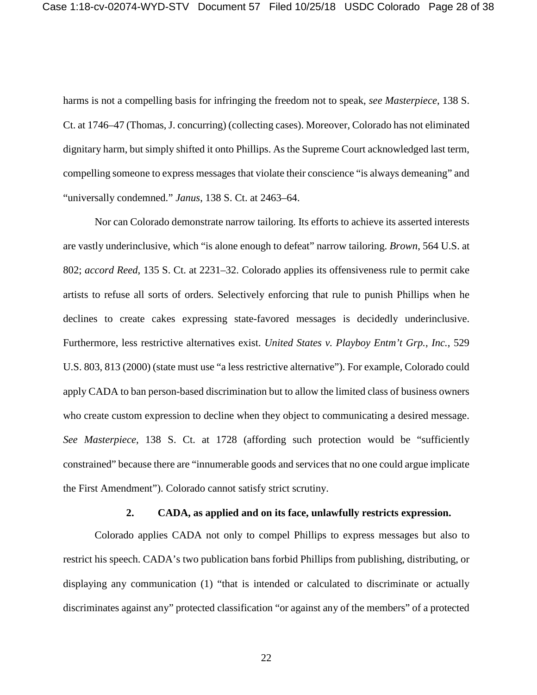harms is not a compelling basis for infringing the freedom not to speak, *see Masterpiece*, 138 S. Ct. at 1746–47 (Thomas, J. concurring) (collecting cases). Moreover, Colorado has not eliminated dignitary harm, but simply shifted it onto Phillips. As the Supreme Court acknowledged last term, compelling someone to express messages that violate their conscience "is always demeaning" and "universally condemned." *Janus*, 138 S. Ct. at 2463–64.

Nor can Colorado demonstrate narrow tailoring. Its efforts to achieve its asserted interests are vastly underinclusive, which "is alone enough to defeat" narrow tailoring. *Brown*, 564 U.S. at 802; *accord Reed*, 135 S. Ct. at 2231–32. Colorado applies its offensiveness rule to permit cake artists to refuse all sorts of orders. Selectively enforcing that rule to punish Phillips when he declines to create cakes expressing state-favored messages is decidedly underinclusive. Furthermore, less restrictive alternatives exist. *United States v. Playboy Entm't Grp., Inc.*, 529 U.S. 803, 813 (2000) (state must use "a less restrictive alternative"). For example, Colorado could apply CADA to ban person-based discrimination but to allow the limited class of business owners who create custom expression to decline when they object to communicating a desired message. *See Masterpiece*, 138 S. Ct. at 1728 (affording such protection would be "sufficiently constrained" because there are "innumerable goods and services that no one could argue implicate the First Amendment"). Colorado cannot satisfy strict scrutiny.

#### **2. CADA, as applied and on its face, unlawfully restricts expression.**

<span id="page-27-0"></span>Colorado applies CADA not only to compel Phillips to express messages but also to restrict his speech. CADA's two publication bans forbid Phillips from publishing, distributing, or displaying any communication (1) "that is intended or calculated to discriminate or actually discriminates against any" protected classification "or against any of the members" of a protected

22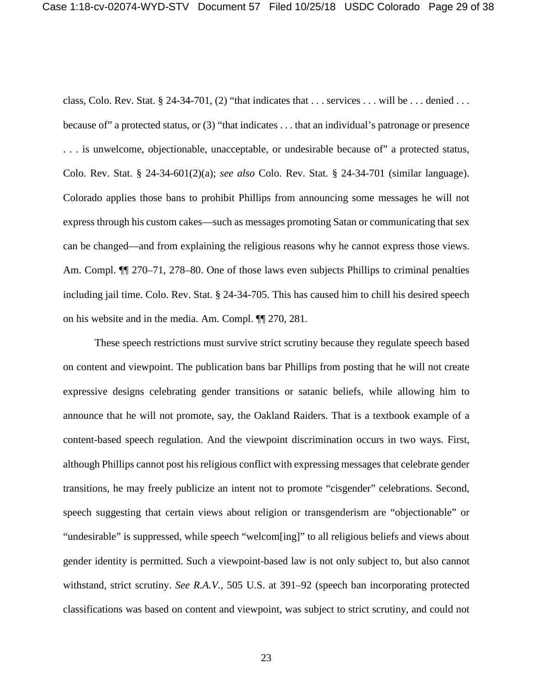class, Colo. Rev. Stat. § 24-34-701, (2) "that indicates that  $\dots$  services  $\dots$  will be  $\dots$  denied  $\dots$ because of" a protected status, or (3) "that indicates . . . that an individual's patronage or presence . . . is unwelcome, objectionable, unacceptable, or undesirable because of" a protected status, Colo. Rev. Stat. § 24-34-601(2)(a); *see also* Colo. Rev. Stat. § 24-34-701 (similar language). Colorado applies those bans to prohibit Phillips from announcing some messages he will not express through his custom cakes—such as messages promoting Satan or communicating that sex can be changed—and from explaining the religious reasons why he cannot express those views. Am. Compl.  $\P$  270–71, 278–80. One of those laws even subjects Phillips to criminal penalties including jail time. Colo. Rev. Stat. § 24-34-705. This has caused him to chill his desired speech on his website and in the media. Am. Compl. ¶¶ 270, 281.

These speech restrictions must survive strict scrutiny because they regulate speech based on content and viewpoint. The publication bans bar Phillips from posting that he will not create expressive designs celebrating gender transitions or satanic beliefs, while allowing him to announce that he will not promote, say, the Oakland Raiders. That is a textbook example of a content-based speech regulation. And the viewpoint discrimination occurs in two ways. First, although Phillips cannot post his religious conflict with expressing messages that celebrate gender transitions, he may freely publicize an intent not to promote "cisgender" celebrations. Second, speech suggesting that certain views about religion or transgenderism are "objectionable" or "undesirable" is suppressed, while speech "welcom[ing]" to all religious beliefs and views about gender identity is permitted. Such a viewpoint-based law is not only subject to, but also cannot withstand, strict scrutiny. *See R.A.V.*, 505 U.S. at 391–92 (speech ban incorporating protected classifications was based on content and viewpoint, was subject to strict scrutiny, and could not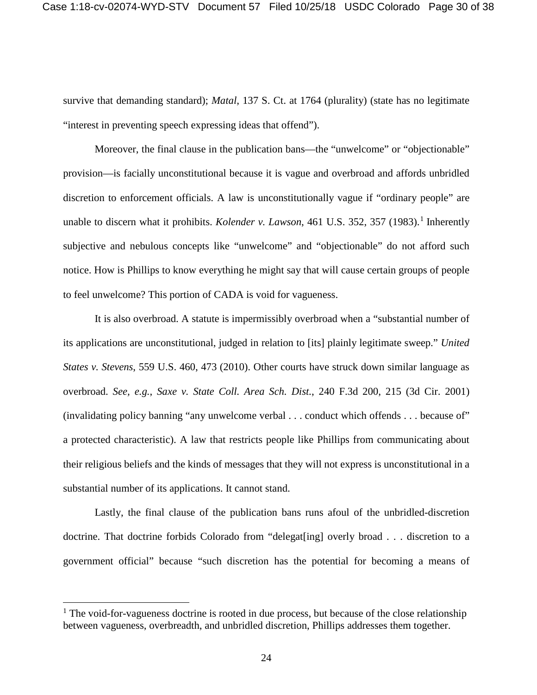survive that demanding standard); *Matal*, 137 S. Ct. at 1764 (plurality) (state has no legitimate "interest in preventing speech expressing ideas that offend").

Moreover, the final clause in the publication bans—the "unwelcome" or "objectionable" provision—is facially unconstitutional because it is vague and overbroad and affords unbridled discretion to enforcement officials. A law is unconstitutionally vague if "ordinary people" are unable to discern what it prohibits. *Kolender v. Lawson*, 46[1](#page-29-0) U.S. 352, 357 (1983).<sup>1</sup> Inherently subjective and nebulous concepts like "unwelcome" and "objectionable" do not afford such notice. How is Phillips to know everything he might say that will cause certain groups of people to feel unwelcome? This portion of CADA is void for vagueness.

It is also overbroad. A statute is impermissibly overbroad when a "substantial number of its applications are unconstitutional, judged in relation to [its] plainly legitimate sweep." *United States v. Stevens*, 559 U.S. 460, 473 (2010). Other courts have struck down similar language as overbroad. *See, e.g.*, *Saxe v. State Coll. Area Sch. Dist.*, 240 F.3d 200, 215 (3d Cir. 2001) (invalidating policy banning "any unwelcome verbal . . . conduct which offends . . . because of" a protected characteristic). A law that restricts people like Phillips from communicating about their religious beliefs and the kinds of messages that they will not express is unconstitutional in a substantial number of its applications. It cannot stand.

Lastly, the final clause of the publication bans runs afoul of the unbridled-discretion doctrine. That doctrine forbids Colorado from "delegat[ing] overly broad . . . discretion to a government official" because "such discretion has the potential for becoming a means of

<span id="page-29-0"></span> $<sup>1</sup>$  The void-for-vagueness doctrine is rooted in due process, but because of the close relationship</sup> between vagueness, overbreadth, and unbridled discretion, Phillips addresses them together.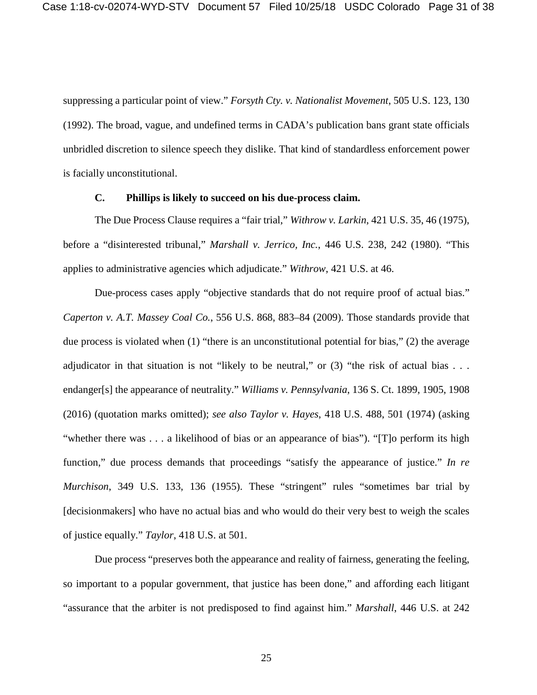suppressing a particular point of view." *Forsyth Cty. v. Nationalist Movement*, 505 U.S. 123, 130 (1992). The broad, vague, and undefined terms in CADA's publication bans grant state officials unbridled discretion to silence speech they dislike. That kind of standardless enforcement power is facially unconstitutional.

### **C. Phillips is likely to succeed on his due-process claim.**

<span id="page-30-0"></span>The Due Process Clause requires a "fair trial," *Withrow v. Larkin*, 421 U.S. 35, 46 (1975), before a "disinterested tribunal," *Marshall v. Jerrico, Inc.*, 446 U.S. 238, 242 (1980). "This applies to administrative agencies which adjudicate." *Withrow*, 421 U.S. at 46.

Due-process cases apply "objective standards that do not require proof of actual bias." *Caperton v. A.T. Massey Coal Co.*, 556 U.S. 868, 883–84 (2009). Those standards provide that due process is violated when (1) "there is an unconstitutional potential for bias," (2) the average adjudicator in that situation is not "likely to be neutral," or  $(3)$  "the risk of actual bias . . . endanger[s] the appearance of neutrality." *Williams v. Pennsylvania*, 136 S. Ct. 1899, 1905, 1908 (2016) (quotation marks omitted); *see also Taylor v. Hayes*, 418 U.S. 488, 501 (1974) (asking "whether there was . . . a likelihood of bias or an appearance of bias"). "[T]o perform its high function," due process demands that proceedings "satisfy the appearance of justice." *In re Murchison*, 349 U.S. 133, 136 (1955). These "stringent" rules "sometimes bar trial by [decisionmakers] who have no actual bias and who would do their very best to weigh the scales of justice equally." *Taylor*, 418 U.S. at 501.

Due process "preserves both the appearance and reality of fairness, generating the feeling, so important to a popular government, that justice has been done," and affording each litigant "assurance that the arbiter is not predisposed to find against him." *Marshall*, 446 U.S. at 242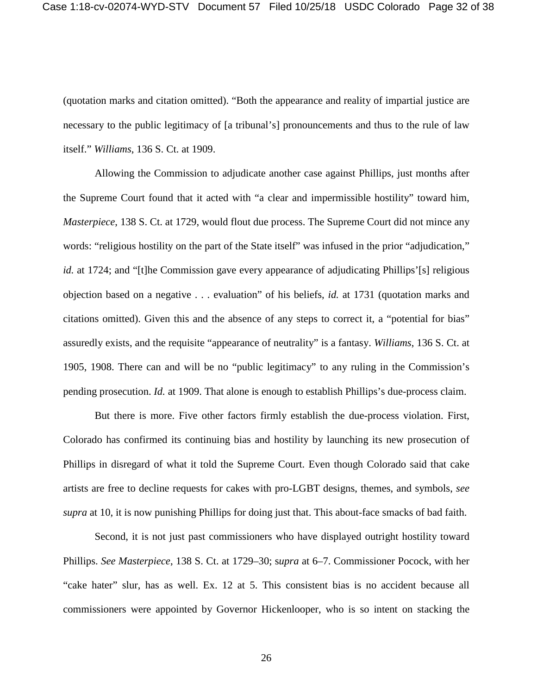Case 1:18-cv-02074-WYD-STV Document 57 Filed 10/25/18 USDC Colorado Page 32 of 38

(quotation marks and citation omitted). "Both the appearance and reality of impartial justice are necessary to the public legitimacy of [a tribunal's] pronouncements and thus to the rule of law itself." *Williams*, 136 S. Ct. at 1909.

Allowing the Commission to adjudicate another case against Phillips, just months after the Supreme Court found that it acted with "a clear and impermissible hostility" toward him, *Masterpiece*, 138 S. Ct. at 1729, would flout due process. The Supreme Court did not mince any words: "religious hostility on the part of the State itself" was infused in the prior "adjudication," *id.* at 1724; and "[t]he Commission gave every appearance of adjudicating Phillips'[s] religious objection based on a negative . . . evaluation" of his beliefs, *id.* at 1731 (quotation marks and citations omitted). Given this and the absence of any steps to correct it, a "potential for bias" assuredly exists, and the requisite "appearance of neutrality" is a fantasy. *Williams*, 136 S. Ct. at 1905, 1908. There can and will be no "public legitimacy" to any ruling in the Commission's pending prosecution. *Id.* at 1909. That alone is enough to establish Phillips's due-process claim.

But there is more. Five other factors firmly establish the due-process violation. First, Colorado has confirmed its continuing bias and hostility by launching its new prosecution of Phillips in disregard of what it told the Supreme Court. Even though Colorado said that cake artists are free to decline requests for cakes with pro-LGBT designs, themes, and symbols, *see supra* at 10, it is now punishing Phillips for doing just that. This about-face smacks of bad faith.

Second, it is not just past commissioners who have displayed outright hostility toward Phillips. *See Masterpiece*, 138 S. Ct. at 1729–30; s*upra* at 6–7. Commissioner Pocock, with her "cake hater" slur, has as well. Ex. 12 at 5. This consistent bias is no accident because all commissioners were appointed by Governor Hickenlooper, who is so intent on stacking the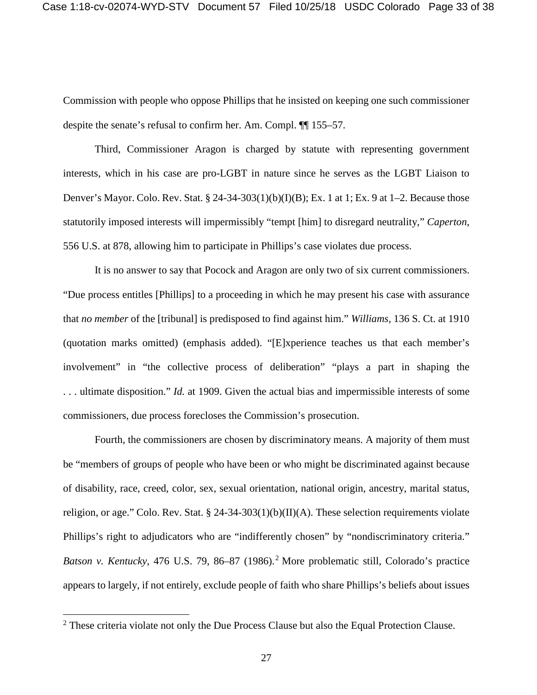Commission with people who oppose Phillips that he insisted on keeping one such commissioner despite the senate's refusal to confirm her. Am. Compl. ¶¶ 155–57.

Third, Commissioner Aragon is charged by statute with representing government interests, which in his case are pro-LGBT in nature since he serves as the LGBT Liaison to Denver's Mayor. Colo. Rev. Stat. § 24-34-303(1)(b)(I)(B); Ex. 1 at 1; Ex. 9 at 1–2. Because those statutorily imposed interests will impermissibly "tempt [him] to disregard neutrality," *Caperton*, 556 U.S. at 878, allowing him to participate in Phillips's case violates due process.

It is no answer to say that Pocock and Aragon are only two of six current commissioners. "Due process entitles [Phillips] to a proceeding in which he may present his case with assurance that *no member* of the [tribunal] is predisposed to find against him." *Williams*, 136 S. Ct. at 1910 (quotation marks omitted) (emphasis added). "[E]xperience teaches us that each member's involvement" in "the collective process of deliberation" "plays a part in shaping the . . . ultimate disposition." *Id.* at 1909. Given the actual bias and impermissible interests of some commissioners, due process forecloses the Commission's prosecution.

Fourth, the commissioners are chosen by discriminatory means. A majority of them must be "members of groups of people who have been or who might be discriminated against because of disability, race, creed, color, sex, sexual orientation, national origin, ancestry, marital status, religion, or age." Colo. Rev. Stat.  $\S$  24-34-303(1)(b)(II)(A). These selection requirements violate Phillips's right to adjudicators who are "indifferently chosen" by "nondiscriminatory criteria." *Batson v. Kentucky*, 476 U.S. 79, 86–87 (1986).<sup>[2](#page-32-0)</sup> More problematic still, Colorado's practice appears to largely, if not entirely, exclude people of faith who share Phillips's beliefs about issues

<span id="page-32-0"></span><sup>&</sup>lt;sup>2</sup> These criteria violate not only the Due Process Clause but also the Equal Protection Clause.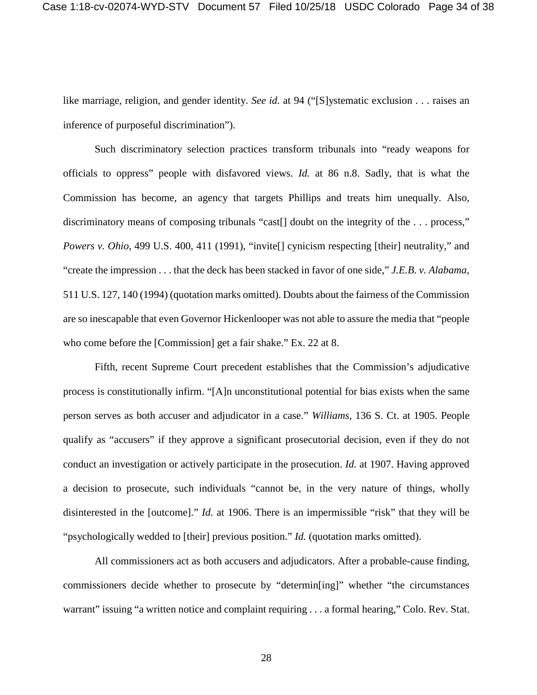like marriage, religion, and gender identity. *See id.* at 94 ("[S]ystematic exclusion . . . raises an inference of purposeful discrimination").

Such discriminatory selection practices transform tribunals into "ready weapons for officials to oppress" people with disfavored views. *Id.* at 86 n.8. Sadly, that is what the Commission has become, an agency that targets Phillips and treats him unequally. Also, discriminatory means of composing tribunals "cast<sup>[]</sup> doubt on the integrity of the ... process," *Powers v. Ohio*, 499 U.S. 400, 411 (1991), "invite<sup>[]</sup> cynicism respecting [their] neutrality," and "create the impression . . . that the deck has been stacked in favor of one side," *J.E.B. v. Alabama*, 511 U.S. 127, 140 (1994) (quotation marks omitted). Doubts about the fairness of the Commission are so inescapable that even Governor Hickenlooper was not able to assure the media that "people who come before the [Commission] get a fair shake." Ex. 22 at 8.

Fifth, recent Supreme Court precedent establishes that the Commission's adjudicative process is constitutionally infirm. "[A]n unconstitutional potential for bias exists when the same person serves as both accuser and adjudicator in a case." *Williams*, 136 S. Ct. at 1905. People qualify as "accusers" if they approve a significant prosecutorial decision, even if they do not conduct an investigation or actively participate in the prosecution. *Id.* at 1907. Having approved a decision to prosecute, such individuals "cannot be, in the very nature of things, wholly disinterested in the [outcome]." *Id.* at 1906. There is an impermissible "risk" that they will be "psychologically wedded to [their] previous position." *Id.* (quotation marks omitted).

All commissioners act as both accusers and adjudicators. After a probable-cause finding, commissioners decide whether to prosecute by "determin[ing]" whether "the circumstances warrant" issuing "a written notice and complaint requiring . . . a formal hearing," Colo. Rev. Stat.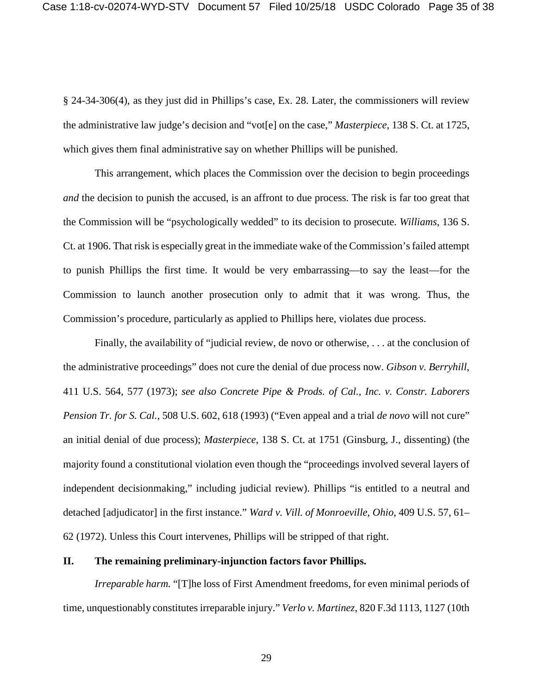§ 24-34-306(4), as they just did in Phillips's case, Ex. 28. Later, the commissioners will review the administrative law judge's decision and "vot[e] on the case," *Masterpiece*, 138 S. Ct. at 1725, which gives them final administrative say on whether Phillips will be punished.

This arrangement, which places the Commission over the decision to begin proceedings *and* the decision to punish the accused, is an affront to due process. The risk is far too great that the Commission will be "psychologically wedded" to its decision to prosecute. *Williams*, 136 S. Ct. at 1906. That risk is especially great in the immediate wake of the Commission's failed attempt to punish Phillips the first time. It would be very embarrassing—to say the least—for the Commission to launch another prosecution only to admit that it was wrong. Thus, the Commission's procedure, particularly as applied to Phillips here, violates due process.

Finally, the availability of "judicial review, de novo or otherwise, . . . at the conclusion of the administrative proceedings" does not cure the denial of due process now. *Gibson v. Berryhill*, 411 U.S. 564, 577 (1973); *see also Concrete Pipe & Prods. of Cal., Inc. v. Constr. Laborers Pension Tr. for S. Cal.*, 508 U.S. 602, 618 (1993) ("Even appeal and a trial *de novo* will not cure" an initial denial of due process); *Masterpiece*, 138 S. Ct. at 1751 (Ginsburg, J., dissenting) (the majority found a constitutional violation even though the "proceedings involved several layers of independent decisionmaking," including judicial review). Phillips "is entitled to a neutral and detached [adjudicator] in the first instance." *Ward v. Vill. of Monroeville, Ohio*, 409 U.S. 57, 61– 62 (1972). Unless this Court intervenes, Phillips will be stripped of that right.

## <span id="page-34-0"></span>**II. The remaining preliminary-injunction factors favor Phillips.**

*Irreparable harm.* "[T]he loss of First Amendment freedoms, for even minimal periods of time, unquestionably constitutes irreparable injury." *Verlo v. Martinez*, 820 F.3d 1113, 1127 (10th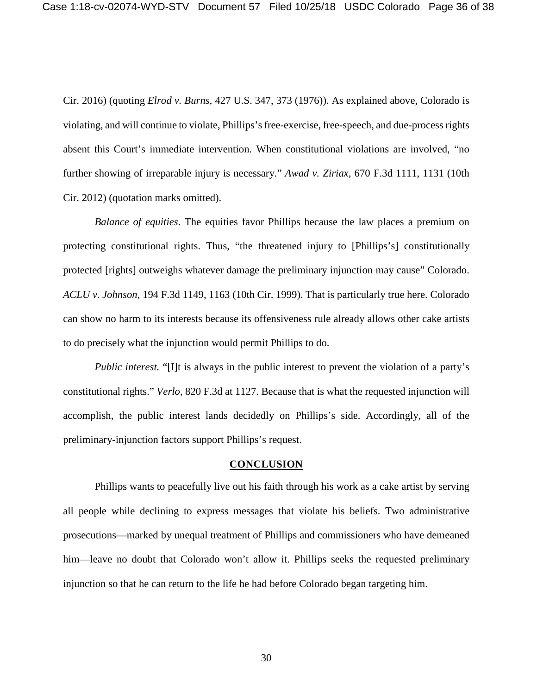Cir. 2016) (quoting *Elrod v. Burns,* 427 U.S. 347, 373 (1976)). As explained above, Colorado is violating, and will continue to violate, Phillips's free-exercise, free-speech, and due-process rights absent this Court's immediate intervention. When constitutional violations are involved, "no further showing of irreparable injury is necessary." *Awad v. Ziriax*, 670 F.3d 1111, 1131 (10th Cir. 2012) (quotation marks omitted).

*Balance of equities*. The equities favor Phillips because the law places a premium on protecting constitutional rights. Thus, "the threatened injury to [Phillips's] constitutionally protected [rights] outweighs whatever damage the preliminary injunction may cause" Colorado. *ACLU v. Johnson*, 194 F.3d 1149, 1163 (10th Cir. 1999). That is particularly true here. Colorado can show no harm to its interests because its offensiveness rule already allows other cake artists to do precisely what the injunction would permit Phillips to do.

*Public interest.* "[I]t is always in the public interest to prevent the violation of a party's constitutional rights." *Verlo*, 820 F.3d at 1127. Because that is what the requested injunction will accomplish, the public interest lands decidedly on Phillips's side. Accordingly, all of the preliminary-injunction factors support Phillips's request.

#### **CONCLUSION**

<span id="page-35-0"></span>Phillips wants to peacefully live out his faith through his work as a cake artist by serving all people while declining to express messages that violate his beliefs. Two administrative prosecutions—marked by unequal treatment of Phillips and commissioners who have demeaned him—leave no doubt that Colorado won't allow it. Phillips seeks the requested preliminary injunction so that he can return to the life he had before Colorado began targeting him.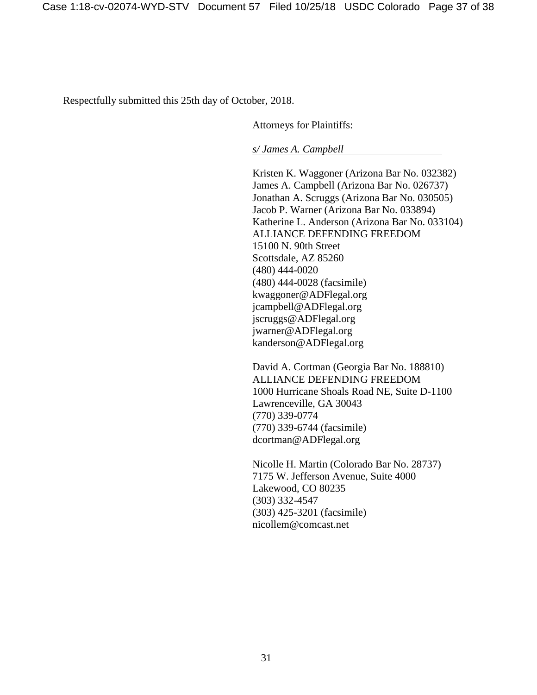Respectfully submitted this 25th day of October, 2018.

Attorneys for Plaintiffs:

*s/ James A. Campbell*

Kristen K. Waggoner (Arizona Bar No. 032382) James A. Campbell (Arizona Bar No. 026737) Jonathan A. Scruggs (Arizona Bar No. 030505) Jacob P. Warner (Arizona Bar No. 033894) Katherine L. Anderson (Arizona Bar No. 033104) ALLIANCE DEFENDING FREEDOM 15100 N. 90th Street Scottsdale, AZ 85260 (480) 444-0020 (480) 444-0028 (facsimile) kwaggoner@ADFlegal.org jcampbell@ADFlegal.org jscruggs@ADFlegal.org jwarner@ADFlegal.org kanderson@ADFlegal.org

David A. Cortman (Georgia Bar No. 188810) ALLIANCE DEFENDING FREEDOM 1000 Hurricane Shoals Road NE, Suite D-1100 Lawrenceville, GA 30043 (770) 339-0774 (770) 339-6744 (facsimile) dcortman@ADFlegal.org

Nicolle H. Martin (Colorado Bar No. 28737) 7175 W. Jefferson Avenue, Suite 4000 Lakewood, CO 80235 (303) 332-4547 (303) 425-3201 (facsimile) nicollem@comcast.net